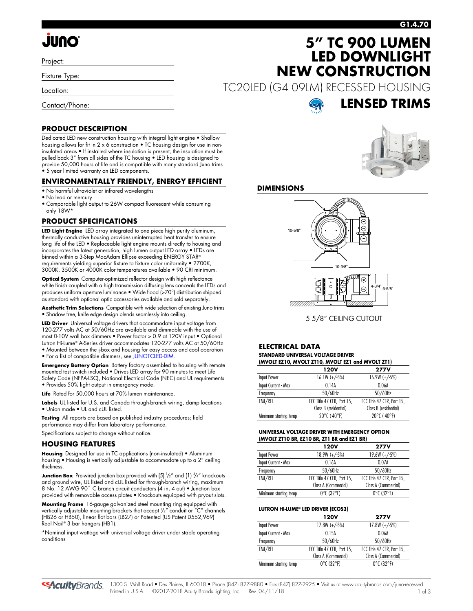# **JUNO**

Project:

Fixture Type:

Location:

Contact/Phone:

# **5" TC 900 LUMEN LED DOWNLIGHT NEW CONSTRUCTION**

TC20LED (G4 09LM) RECESSED HOUSING



### **PRODUCT DESCRIPTION**

Dedicated LED new construction housing with integral light engine • Shallow housing allows for fit in 2 x 6 construction • TC housing design for use in noninsulated areas • If installed where insulation is present, the insulation must be pulled back 3" from all sides of the TC housing • LED housing is designed to provide 50,000 hours of life and is compatible with many standard Juno trims • 5 year limited warranty on LED components.

### **ENVIRONMENTALLY FRIENDLY, ENERGY EFFICIENT**

- No harmful ultraviolet or infrared wavelengths
- No lead or mercury
- Comparable light output to 26W compact fluorescent while consuming only 18W\*

### **PRODUCT SPECIFICATIONS**

**LED Light Engine** LED array integrated to one piece high purity aluminum, thermally conductive housing provides uninterrupted heat transfer to ensure long life of the LED • Replaceable light engine mounts directly to housing and incorporates the latest generation, high lumen output LED array • LEDs are binned within a 3-Step MacAdam Ellipse exceeding ENERGY STAR® requirements yielding superior fixture to fixture color uniformity • 2700K, 3000K, 3500K or 4000K color temperatures available • 90 CRI minimum.

**Optical System** Computer-optimized reflector design with high reflectance white finish coupled with a high transmission diffusing lens conceals the LEDs and produces uniform aperture luminance • Wide flood (>70°) distribution shipped as standard with optional optic accessories available and sold separately.

**Aesthetic Trim Selections** Compatible with wide selection of existing Juno trims • Shadow free, knife edge design blends seamlessly into ceiling.

**LED Driver** Universal voltage drivers that accommodate input voltage from 120-277 volts AC at 50/60Hz are available and dimmable with the use of most 0-10V wall box dimmers • Power factor > 0.9 at 120V input • Optional Lutron Hi-Lume® A-Series driver accommodates 120-277 volts AC at 50/60Hz • Mounted between the j-box and housing for easy access and cool operation • For a list of compatible dimmers, se[e JUNOTCLED-DIM.](http://www.acuitybrands.com/shell/-/media/Files/Acuity/Other/JUNOTCLED-DIM.pdf)

**Emergency Battery Option** Battery factory assembled to housing with remote mounted test switch included • Drives LED array for 90 minutes to meet Life Safety Code (NFPA-LSC), National Electrical Code (NEC) and UL requirements • Provides 50% light output in emergency mode.

**Life** Rated for 50,000 hours at 70% lumen maintenance.

**Labels** UL listed for U.S. and Canada through-branch wiring, damp locations • Union made • UL and cUL listed.

**Testing** All reports are based on published industry procedures; field performance may differ from laboratory performance.

Specifications subject to change without notice.

#### **HOUSING FEATURES**

**Housing** Designed for use in TC applications (non-insulated) • Aluminum housing • Housing is vertically adjustable to accommodate up to a 2" ceiling thickness.

**Junction Box** Pre-wired junction box provided with (5)  $\frac{1}{2}$ " and (1)  $\frac{3}{4}$ " knockouts and ground wire, UL listed and cUL listed for through-branch wiring, maximum 8 No. 12 AWG 90° C branch circuit conductors (4 in, 4 out) • Junction box provided with removable access plates • Knockouts equipped with pryout slots.

**Mounting Frame** 16-gauge galvanized steel mounting ring equipped with vertically adjustable mounting brackets that accept 1 /2" conduit or "C" channels (HB26 or HB50), linear flat bars (LB27) or Patented (US Patent D552,969) Real Nail® 3 bar hangers (HB1).

\*Nominal input wattage with universal voltage driver under stable operating conditions



**LENSED TRIMS**

### **DIMENSIONS**



5 5/8" CEILING CUTOUT

#### **ELECTRICAL DATA STANDARD UNIVERSAL VOLTAGE DRIVER (MVOLT EZ10, MVOLT ZT10, MVOLT EZ1 and MVOLT ZT1)**

| $(0.00001)$ EZ IV, MVOLI ZI IV, MVOLI EZ I GIIG MVOLI ZI I |                            |                            |  |  |  |  |
|------------------------------------------------------------|----------------------------|----------------------------|--|--|--|--|
|                                                            | 120V                       | <b>277V</b>                |  |  |  |  |
| Input Power                                                | $16.1W (+/-5%)$            | $16.9W (+/-5%)$            |  |  |  |  |
| Input Current - Max                                        | 0.14A                      | 0.06A                      |  |  |  |  |
| Frequency                                                  | 50/60Hz                    | 50/60Hz                    |  |  |  |  |
| EMI/RFI                                                    | FCC Title 47 CFR, Part 15, | FCC Title 47 CFR, Part 15, |  |  |  |  |
|                                                            | Class B (residential)      | Class B (residential)      |  |  |  |  |
| Minimum starting temp                                      | $-20^{\circ}$ C (-40°F)    | $-20^{\circ}$ C (-40°F)    |  |  |  |  |

#### **UNIVERSAL VOLTAGE DRIVER WITH EMERGENCY OPTION (MVOLT ZT10 BR, EZ10 BR, ZT1 BR and EZ1 BR)**

|                       | <b>120V</b>                     | <b>277V</b>                     |
|-----------------------|---------------------------------|---------------------------------|
| Input Power           | $18.9W (+/-5%)$                 | $19.6W (+/-5%)$                 |
| Input Current - Max   | 0.16A                           | 0.07A                           |
| Frequency             | 50/60Hz                         | 50/60Hz                         |
| EMI/RFI               | FCC Title 47 CFR, Part 15,      | FCC Title 47 CFR, Part 15,      |
|                       | Class A (Commercial)            | Class A (Commercial)            |
| Minimum starting temp | $0^{\circ}$ C (32 $^{\circ}$ F) | $0^{\circ}$ C (32 $^{\circ}$ F) |

#### **LUTRON HI-LUME® LED DRIVER (ECOS3)**

|                       | 120V                            | <b>277V</b>                     |
|-----------------------|---------------------------------|---------------------------------|
| Input Power           | $17.8W (+/-5%)$                 | $17.8W (+/-5%)$                 |
| Input Current - Max   | 0 15A                           | 0.06A                           |
| Frequency             | 50/60Hz                         | 50/60Hz                         |
| EMI/RFI               | FCC Title 47 CFR, Part 15,      | FCC Title 47 CFR, Part 15,      |
|                       | Class A (Commercial)            | Class A (Commercial)            |
| Minimum starting temp | $0^{\circ}$ C (32 $^{\circ}$ F) | $0^{\circ}$ C (32 $^{\circ}$ F) |

**SAcuity** Brands.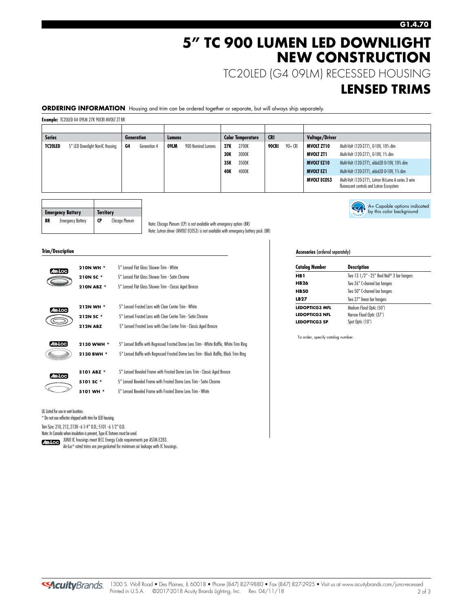## **5" TC 900 LUMEN LED DOWNLIGHT NEW CONSTRUCTION**

TC20LED (G4 09LM) RECESSED HOUSING

### **LENSED TRIMS**

A+ Capable options indicated by this color background

**ORDERING INFORMATION** Housing and trim can be ordered together or separate, but will always ship separately.

**Example:** TC20LED G4 09LM 27K 90CRI MVOLT ZT BR

| <b>Series</b> |                                 | <b>Generation</b> |              | Lumens |                    | <b>Color Temperature</b> |       | <b>CRI</b> |         | <b>Voltage/Driver</b> |                                                                                                   |
|---------------|---------------------------------|-------------------|--------------|--------|--------------------|--------------------------|-------|------------|---------|-----------------------|---------------------------------------------------------------------------------------------------|
| TC20LED       | 5" LED Downlight Non-IC Housing | G4                | Generation 4 | 09LM   | 900 Nominal Lumens | 27K                      | 2700K | 90CRI      | 90+ CRI | <b>MVOLT ZT10</b>     | Multi-Volt (120-277), 0-10V, 10% dim                                                              |
|               |                                 |                   |              |        |                    | 30K                      | 3000K |            |         | MVOLT ZT1             | Multi-Volt (120-277), 0-10V, 1% dim                                                               |
|               |                                 |                   |              |        |                    | 35K                      | 3500K |            |         | <b>MVOLT EZ10</b>     | Multi-Volt (120-277), eldoLED 0-10V, 10% dim                                                      |
|               |                                 |                   |              |        |                    | <b>40K</b>               | 4000K |            |         | <b>MVOLT EZ1</b>      | Multi-Volt (120-277), eldoLED 0-10V, 1% dim                                                       |
|               |                                 |                   |              |        |                    |                          |       |            |         | <b>MVOLT ECOS3</b>    | Multi-Volt (120-277), Lutron Hi-Lume A series 3 wire<br>fluorescent controls and Lutron Ecosystem |

|    | <b>Emergency Battery</b> | <b>Territory</b> |                |
|----|--------------------------|------------------|----------------|
| BR | <b>Emergency Battery</b> | <b>CP</b>        | Chicago Plenum |

 $\overline{\phantom{a}}$ 

Note: Chicago Plenum (CP) is not available with emergency option (BR) Note: Lutron driver (MVOLT ECOS3) is not available with emergency battery pack (BR)

#### **Trim/Description**

 $\sqrt{ }$ 

| 12.LOC  | 210N WH *       | 5" Lensed Flat Glass Shower Trim - White                                               |
|---------|-----------------|----------------------------------------------------------------------------------------|
|         | 210N SC *       | 5" Lensed Flat Glass Shower Trim - Satin Chrome                                        |
|         | 210N ABZ *      | 5" Lensed Flat Glass Shower Trim - Classic Aged Bronze                                 |
|         |                 | 5" Lensed Frosted Lens with Clear Center Trim - White                                  |
|         | 212N WH *       |                                                                                        |
|         | 212N SC*        | 5" Lensed Frosted Lens with Clear Center Trim - Satin Chrome                           |
|         | <b>212N ABZ</b> | 5" Lensed Frosted Lens with Clear Center Trim - Classic Aged Bronze                    |
| AIR LOC | 2130 WWH *      | 5" Lensed Baffle with Regressed Frosted Dome Lens Trim - White Baffle, White Trim Ring |
|         | 2130 BWH *      | 5" Lensed Baffle with Regressed Frosted Dome Lens Trim - Black Baffle, Black Trim Ring |
|         | 5101 ABZ *      | 5" Lensed Beveled Frame with Frosted Dome Lens Trim - Classic Aged Bronze              |
| 41R-LOC | 5101 SC*        | 5" Lensed Beveled Frame with Frosted Dome Lens Trim - Satin Chrome                     |
|         | 5101 WH *       | 5" Lensed Beveled Frame with Frosted Dome Lens Trim - White                            |
|         |                 |                                                                                        |

UL Listed for use in wet location.

\* Do not use reflector shipped with trim for LED housing.

Trim Size: 210, 212, 2130 - 6 1⁄ 4" O.D.; 5101 - 6 1⁄ 2" O.D.

Note: In Canada when insulation is present, Type IC fixtures must be used.

JUNO IC housings meet IECC Energy Code requirements per ASTM E283.

Air-Loc® rated trims are pre-gasketed for minimum air leakage with IC housings.

#### **Accesories** (ordered separately)

| <b>Catalog Number</b> | <b>Description</b>                         |  |  |  |  |
|-----------------------|--------------------------------------------|--|--|--|--|
| HB 1                  | Two 13 1/2" - 25" Real Nail® 3 bar hangers |  |  |  |  |
| <b>HB26</b>           | Two 26" C-channel bar hangers              |  |  |  |  |
| <b>HB50</b>           | Two 50" C-channel bar hangers              |  |  |  |  |
| LB27                  | Two 27" linear bar hangers                 |  |  |  |  |
| LEDOPTICG3 MFL        | Medium Flood Optic (50°)                   |  |  |  |  |
| <b>LEDOPTICG3 NFL</b> | Narrow Flood Optic (37°)                   |  |  |  |  |
| <b>LEDOPTICG3 SP</b>  | Spot Optic (10°)                           |  |  |  |  |

To order, specify catalog number.